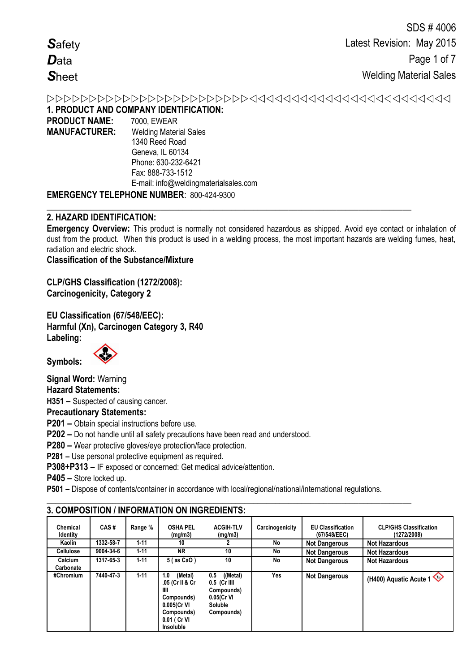# 

**1. PRODUCT AND COMPANY IDENTIFICATION:**

| <b>PRODUCT NAME:</b> | 7000, EWEAR                                     |
|----------------------|-------------------------------------------------|
| <b>MANUFACTURER:</b> | <b>Welding Material Sales</b>                   |
|                      | 1340 Reed Road                                  |
|                      | Geneva, IL 60134                                |
|                      | Phone: 630-232-6421                             |
|                      | Fax: 888-733-1512                               |
|                      | E-mail: info@weldingmaterialsales.com           |
|                      | <b>EMERGENCY TELEPHONE NUMBER: 800-424-9300</b> |

# **2. HAZARD IDENTIFICATION:**

**Emergency Overview:** This product is normally not considered hazardous as shipped. Avoid eye contact or inhalation of dust from the product. When this product is used in a welding process, the most important hazards are welding fumes, heat, radiation and electric shock.

**\_\_\_\_\_\_\_\_\_\_\_\_\_\_\_\_\_\_\_\_\_\_\_\_\_\_\_\_\_\_\_\_\_\_\_\_\_\_\_\_\_\_\_\_\_\_\_\_\_\_\_\_\_\_\_\_\_\_\_\_\_\_\_\_\_\_\_\_\_\_\_\_\_\_\_\_\_\_\_\_\_\_\_**

**Classification of the Substance/Mixture**

**CLP/GHS Classification (1272/2008): Carcinogenicity, Category 2**

**EU Classification (67/548/EEC): Harmful (Xn), Carcinogen Category 3, R40 Labeling:**



**Symbols:** 

**Signal Word:** Warning **Hazard Statements: H351 –** Suspected of causing cancer. **Precautionary Statements:**

**P201 –** Obtain special instructions before use.

**P202 –** Do not handle until all safety precautions have been read and understood.

**P280 –** Wear protective gloves/eye protection/face protection.

**P281 –** Use personal protective equipment as required.

**P308+P313 –** IF exposed or concerned: Get medical advice/attention.

**P405 –** Store locked up.

**P501 –** Dispose of contents/container in accordance with local/regional/national/international regulations.

**\_\_\_\_\_\_\_\_\_\_\_\_\_\_\_\_\_\_\_\_\_\_\_\_\_\_\_\_\_\_\_\_\_\_\_\_\_\_\_\_\_\_\_\_\_\_\_\_\_\_\_\_\_\_\_\_\_\_\_\_\_\_\_\_\_\_\_\_\_\_\_\_\_\_\_\_\_\_\_\_\_\_\_**

|                             |           |          | 3. GOMFOSH ION / INFORMATION ON INGREDIENTS.                                                                          |                                                                                          |                 |                                          |                                              |
|-----------------------------|-----------|----------|-----------------------------------------------------------------------------------------------------------------------|------------------------------------------------------------------------------------------|-----------------|------------------------------------------|----------------------------------------------|
| Chemical<br><b>Identity</b> | CAS#      | Range %  | <b>OSHA PEL</b><br>(mg/m3)                                                                                            | <b>ACGIH-TLV</b><br>(mg/m3)                                                              | Carcinogenicity | <b>EU Classification</b><br>(67/548/EEC) | <b>CLP/GHS Classification</b><br>(1272/2008) |
| Kaolin                      | 1332-58-7 | $1 - 11$ | 10                                                                                                                    |                                                                                          | No              | <b>Not Dangerous</b>                     | <b>Not Hazardous</b>                         |
| <b>Cellulose</b>            | 9004-34-6 | $1 - 11$ | ΝR                                                                                                                    | 10                                                                                       | No              | <b>Not Dangerous</b>                     | <b>Not Hazardous</b>                         |
| Calcium<br>Carbonate        | 1317-65-3 | $1 - 11$ | 5 (as CaO)                                                                                                            | 10                                                                                       | No              | <b>Not Dangerous</b>                     | <b>Not Hazardous</b>                         |
| #Chromium                   | 7440-47-3 | $1 - 11$ | (Metal)<br>1.0<br>.05 (Cr II & Cr<br>Ш<br>Compounds)<br>0.005(Cr VI<br>Compounds)<br>0.01 ( Cr VI<br><b>Insoluble</b> | ((Metal)<br>0.5<br>$0.5$ (Cr IIII<br>Compounds)<br>$0.05(Cr$ VI<br>Soluble<br>Compounds) | Yes             | <b>Not Dangerous</b>                     | (H400) Aquatic Acute 1                       |

# **3. COMPOSITION / INFORMATION ON INGREDIENTS:**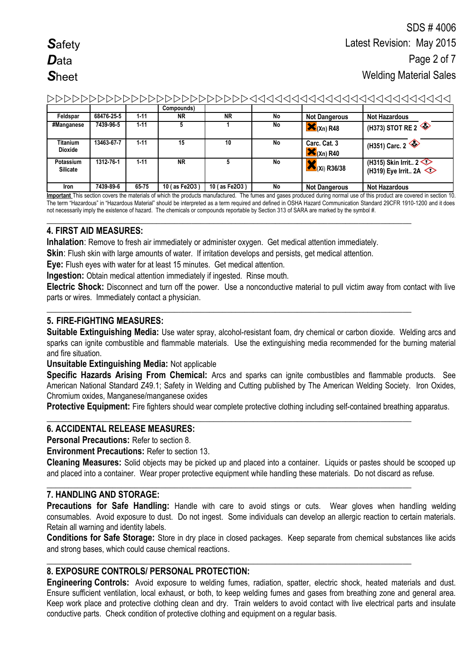|                              |            |          | Compounds)    |               |    |                                        |                                                                             |
|------------------------------|------------|----------|---------------|---------------|----|----------------------------------------|-----------------------------------------------------------------------------|
| Feldspar                     | 68476-25-5 | $1 - 11$ | ΝR            | <b>NR</b>     | No | <b>Not Dangerous</b>                   | <b>Not Hazardous</b>                                                        |
| #Manganese                   | 7439-96-5  | $1 - 11$ |               |               | No | $\mathsf{X}_{(Xn)R48}$                 | $'$ (H373) STOT RE 2                                                        |
| Titanium<br><b>Dioxide</b>   | 13463-67-7 | $1 - 11$ | 15            | 10            | No | Carc. Cat. 3<br>$\mathsf{X}_{(Xn)R40}$ | (H351) Carc. 2                                                              |
| Potassium<br><b>Silicate</b> | 1312-76-1  | $1 - 11$ | <b>NR</b>     |               | No | $\bigotimes$ (Xi) R36/38               | (H315) Skin Irrit. $2 \leq 1$<br>(H319) Eye Irrit 2A $\textcircled{\frown}$ |
| Iron                         | 7439-89-6  | 65-75    | 10 (as Fe2O3) | 10 (as Fe2O3) | No | <b>Not Dangerous</b>                   | <b>Not Hazardous</b>                                                        |

**Important** This section covers the materials of which the products manufactured. The fumes and gases produced during normal use of this product are covered in section 10. The term "Hazardous" in "Hazardous Material" should be interpreted as a term required and defined in OSHA Hazard Communication Standard 29CFR 1910-1200 and it does not necessarily imply the existence of hazard. The chemicals or compounds reportable by Section 313 of SARA are marked by the symbol #.

### **4. FIRST AID MEASURES:**

**Inhalation**: Remove to fresh air immediately or administer oxygen. Get medical attention immediately.

**\_\_\_\_\_\_\_\_\_\_\_\_\_\_\_\_\_\_\_\_\_\_\_\_\_\_\_\_\_\_\_\_\_\_\_\_\_\_\_\_\_\_\_\_\_\_\_\_\_\_\_\_\_\_\_\_\_\_\_\_\_\_\_\_\_\_\_\_\_\_\_\_\_\_\_\_\_\_\_\_\_\_\_**

**\_\_\_\_\_\_\_\_\_\_\_\_\_\_\_\_\_\_\_\_\_\_\_\_\_\_\_\_\_\_\_\_\_\_\_\_\_\_\_\_\_\_\_\_\_\_\_\_\_\_\_\_\_\_\_\_\_\_\_\_\_\_\_\_\_\_\_\_\_\_\_\_\_\_\_\_\_\_\_\_\_\_\_**

**Skin**: Flush skin with large amounts of water. If irritation develops and persists, get medical attention.

**Eye:** Flush eyes with water for at least 15 minutes. Get medical attention.

**Ingestion:** Obtain medical attention immediately if ingested. Rinse mouth.

**Electric Shock:** Disconnect and turn off the power. Use a nonconductive material to pull victim away from contact with live parts or wires. Immediately contact a physician.

# **5. FIRE-FIGHTING MEASURES:**

**Suitable Extinguishing Media:** Use water spray, alcohol-resistant foam, dry chemical or carbon dioxide. Welding arcs and sparks can ignite combustible and flammable materials. Use the extinguishing media recommended for the burning material and fire situation.

**Unsuitable Extinguishing Media:** Not applicable

**Specific Hazards Arising From Chemical:** Arcs and sparks can ignite combustibles and flammable products. See American National Standard Z49.1; Safety in Welding and Cutting published by The American Welding Society. Iron Oxides, Chromium oxides, Manganese/manganese oxides

**Protective Equipment:** Fire fighters should wear complete protective clothing including self-contained breathing apparatus.

### **\_\_\_\_\_\_\_\_\_\_\_\_\_\_\_\_\_\_\_\_\_\_\_\_\_\_\_\_\_\_\_\_\_\_\_\_\_\_\_\_\_\_\_\_\_\_\_\_\_\_\_\_\_\_\_\_\_\_\_\_\_\_\_\_\_\_\_\_\_\_\_\_\_\_\_\_\_\_\_\_\_\_\_ 6. ACCIDENTAL RELEASE MEASURES:**

**Personal Precautions:** Refer to section 8.

**Environment Precautions: Refer to section 13.** 

**Cleaning Measures:** Solid objects may be picked up and placed into a container. Liquids or pastes should be scooped up and placed into a container. Wear proper protective equipment while handling these materials. Do not discard as refuse.

**\_\_\_\_\_\_\_\_\_\_\_\_\_\_\_\_\_\_\_\_\_\_\_\_\_\_\_\_\_\_\_\_\_\_\_\_\_\_\_\_\_\_\_\_\_\_\_\_\_\_\_\_\_\_\_\_\_\_\_\_\_\_\_\_\_\_\_\_\_\_\_\_\_\_\_\_\_\_\_\_\_\_\_**

**\_\_\_\_\_\_\_\_\_\_\_\_\_\_\_\_\_\_\_\_\_\_\_\_\_\_\_\_\_\_\_\_\_\_\_\_\_\_\_\_\_\_\_\_\_\_\_\_\_\_\_\_\_\_\_\_\_\_\_\_\_\_\_\_\_\_\_\_\_\_\_\_\_\_\_\_\_\_\_\_\_\_\_**

# **7. HANDLING AND STORAGE:**

Precautions for Safe Handling: Handle with care to avoid stings or cuts. Wear gloves when handling welding consumables. Avoid exposure to dust. Do not ingest. Some individuals can develop an allergic reaction to certain materials. Retain all warning and identity labels.

**Conditions for Safe Storage:** Store in dry place in closed packages. Keep separate from chemical substances like acids and strong bases, which could cause chemical reactions.

# **8. EXPOSURE CONTROLS/ PERSONAL PROTECTION:**

**Engineering Controls:** Avoid exposure to welding fumes, radiation, spatter, electric shock, heated materials and dust. Ensure sufficient ventilation, local exhaust, or both, to keep welding fumes and gases from breathing zone and general area. Keep work place and protective clothing clean and dry. Train welders to avoid contact with live electrical parts and insulate conductive parts. Check condition of protective clothing and equipment on a regular basis.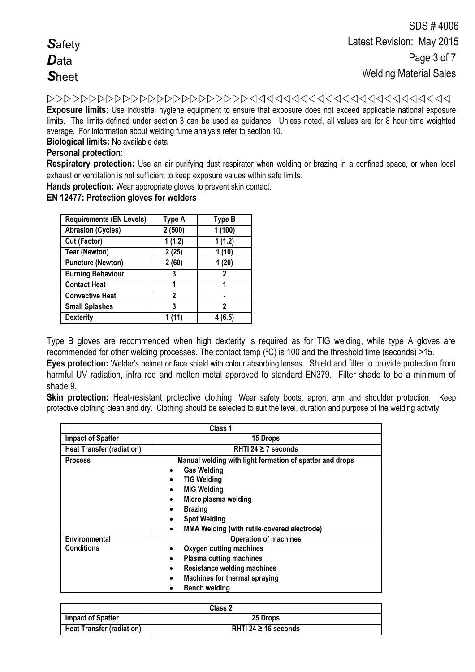**Exposure limits:** Use industrial hygiene equipment to ensure that exposure does not exceed applicable national exposure

limits. The limits defined under section 3 can be used as guidance. Unless noted, all values are for 8 hour time weighted average. For information about welding fume analysis refer to section 10.

**Biological limits:** No available data

### **Personal protection:**

**Respiratory protection:** Use an air purifying dust respirator when welding or brazing in a confined space, or when local exhaust or ventilation is not sufficient to keep exposure values within safe limits.

**Hands protection:** Wear appropriate gloves to prevent skin contact.

**EN 12477: Protection gloves for welders**

| <b>Requirements (EN Levels)</b> | Type A | <b>Type B</b> |
|---------------------------------|--------|---------------|
| <b>Abrasion (Cycles)</b>        | 2(500) | 1(100)        |
| Cut (Factor)                    | 1(1.2) | 1(1.2)        |
| <b>Tear (Newton)</b>            | 2(25)  | 1(10)         |
| <b>Puncture (Newton)</b>        | 2(60)  | 1(20)         |
| <b>Burning Behaviour</b>        | 3      | 2             |
| <b>Contact Heat</b>             | 1      | 1             |
| <b>Convective Heat</b>          | 2      |               |
| <b>Small Splashes</b>           | 3      | 2             |
| <b>Dexterity</b>                | 1 (11) | 4 (6.5)       |

Type B gloves are recommended when high dexterity is required as for TIG welding, while type A gloves are recommended for other welding processes. The contact temp (ºC) is 100 and the threshold time (seconds) >15.

**Eyes protection:** Welder's helmet or face shield with colour absorbing lenses. Shield and filter to provide protection from harmful UV radiation, infra red and molten metal approved to standard EN379. Filter shade to be a minimum of shade 9.

**Skin protection:** Heat-resistant protective clothing. Wear safety boots, apron, arm and shoulder protection. Keep protective clothing clean and dry. Clothing should be selected to suit the level, duration and purpose of the welding activity.

|                                  | Class 1                                                                                                                                                                                                                                                                                  |
|----------------------------------|------------------------------------------------------------------------------------------------------------------------------------------------------------------------------------------------------------------------------------------------------------------------------------------|
| <b>Impact of Spatter</b>         | 15 Drops                                                                                                                                                                                                                                                                                 |
| <b>Heat Transfer (radiation)</b> | RHTI 24 $\geq$ 7 seconds                                                                                                                                                                                                                                                                 |
| <b>Process</b>                   | Manual welding with light formation of spatter and drops<br><b>Gas Welding</b><br>$\bullet$<br><b>TIG Welding</b><br><b>MIG Welding</b><br>Micro plasma welding<br>$\bullet$<br><b>Brazing</b><br><b>Spot Welding</b><br><b>MMA Welding (with rutile-covered electrode)</b><br>$\bullet$ |
| Environmental<br>Conditions      | <b>Operation of machines</b><br>Oxygen cutting machines<br><b>Plasma cutting machines</b><br>$\bullet$<br><b>Resistance welding machines</b><br>$\bullet$<br><b>Machines for thermal spraying</b><br><b>Bench welding</b>                                                                |

| Class 2                          |                           |  |
|----------------------------------|---------------------------|--|
| <b>Impact of Spatter</b>         | 25 Drops                  |  |
| <b>Heat Transfer (radiation)</b> | RHTI 24 $\geq$ 16 seconds |  |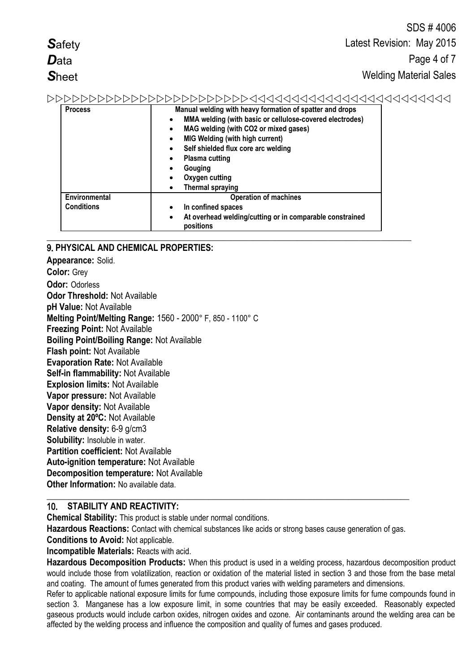|                | SDS #4006                                                |
|----------------|----------------------------------------------------------|
| <b>Safety</b>  | Latest Revision: May 2015                                |
| <b>D</b> ata   | Page 4 of 7                                              |
| <b>Sheet</b>   | <b>Welding Material Sales</b>                            |
| DDDDDDDDDDDI   | >>>>>>>>>>>>>4444444444444444444444                      |
| <b>Process</b> | Manual welding with heavy formation of spatter and drops |
|                | MMA welding (with basic or cellulose-covered electrodes) |

|                   | MMA welding (with basic or cellulose-covered electrodes)<br>$\bullet$              |
|-------------------|------------------------------------------------------------------------------------|
|                   | MAG welding (with CO2 or mixed gases)<br>$\bullet$                                 |
|                   | <b>MIG Welding (with high current)</b>                                             |
|                   | Self shielded flux core arc welding<br>$\bullet$                                   |
|                   | <b>Plasma cutting</b><br>٠                                                         |
|                   | Gouging                                                                            |
|                   | Oxygen cutting                                                                     |
|                   | <b>Thermal spraying</b>                                                            |
| Environmental     | <b>Operation of machines</b>                                                       |
| <b>Conditions</b> | In confined spaces<br>$\bullet$                                                    |
|                   | At overhead welding/cutting or in comparable constrained<br>$\bullet$<br>positions |

### 9. **PHYSICAL AND CHEMICAL PROPERTIES:**

**Appearance:** Solid. **Color:** Grey **Odor:** Odorless **Odor Threshold:** Not Available **pH Value:** Not Available **Melting Point/Melting Range:** 1560 - 2000° F, 850 - 1100° C **Freezing Point:** Not Available **Boiling Point/Boiling Range:** Not Available **Flash point:** Not Available **Evaporation Rate:** Not Available **Self-in flammability:** Not Available **Explosion limits:** Not Available **Vapor pressure:** Not Available **Vapor density:** Not Available **Density at 20ºC:** Not Available **Relative density:** 6-9 g/cm3 **Solubility:** Insoluble in water. **Partition coefficient:** Not Available **Auto-ignition temperature:** Not Available **Decomposition temperature:** Not Available **Other Information:** No available data **\_\_\_\_\_\_\_\_\_\_\_\_\_\_\_\_\_\_\_\_\_\_\_\_\_\_\_\_\_\_\_\_\_\_\_\_\_\_\_\_\_\_\_\_\_\_\_\_\_\_\_\_\_\_\_\_\_\_\_\_\_\_\_\_\_\_\_\_\_\_\_\_\_\_\_\_\_\_\_\_\_\_\_**

# 10. **STABILITY AND REACTIVITY:**

**Chemical Stability:** This product is stable under normal conditions.

**Hazardous Reactions:** Contact with chemical substances like acids or strong bases cause generation of gas.

**Conditions to Avoid:** Not applicable.

**Incompatible Materials:** Reacts with acid.

**Hazardous Decomposition Products:** When this product is used in a welding process, hazardous decomposition product would include those from volatilization, reaction or oxidation of the material listed in section 3 and those from the base metal and coating. The amount of fumes generated from this product varies with welding parameters and dimensions.

Refer to applicable national exposure limits for fume compounds, including those exposure limits for fume compounds found in section 3. Manganese has a low exposure limit, in some countries that may be easily exceeded. Reasonably expected gaseous products would include carbon oxides, nitrogen oxides and ozone. Air contaminants around the welding area can be affected by the welding process and influence the composition and quality of fumes and gases produced.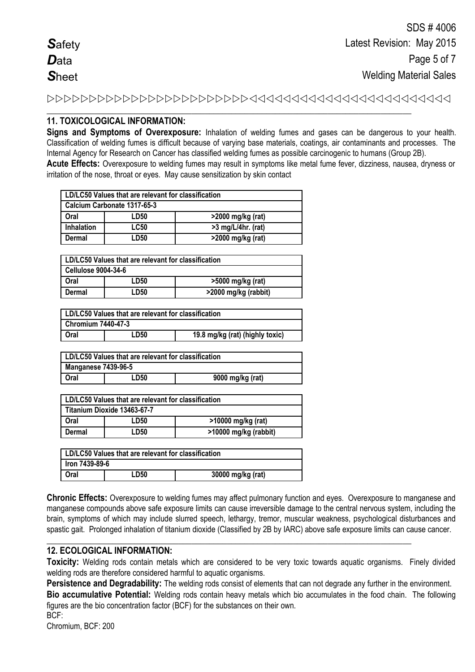**\_\_\_\_\_\_\_\_\_\_\_\_\_\_\_\_\_\_\_\_\_\_\_\_\_\_\_\_\_\_\_\_\_\_\_\_\_\_\_\_\_\_\_\_\_\_\_\_\_\_\_\_\_\_\_\_\_\_\_\_\_\_\_\_\_\_\_\_\_\_\_\_\_\_\_\_\_\_\_\_\_\_\_**

# **11. TOXICOLOGICAL INFORMATION:**

**Signs and Symptoms of Overexposure:** Inhalation of welding fumes and gases can be dangerous to your health. Classification of welding fumes is difficult because of varying base materials, coatings, air contaminants and processes. The Internal Agency for Research on Cancer has classified welding fumes as possible carcinogenic to humans (Group 2B).

**Acute Effects:** Overexposure to welding fumes may result in symptoms like metal fume fever, dizziness, nausea, dryness or irritation of the nose, throat or eyes. May cause sensitization by skin contact

| LD/LC50 Values that are relevant for classification |             |                      |  |
|-----------------------------------------------------|-------------|----------------------|--|
| Calcium Carbonate 1317-65-3                         |             |                      |  |
| Oral                                                | LD50        | >2000 mg/kg (rat)    |  |
| <b>Inhalation</b>                                   | <b>LC50</b> | $>3$ mg/L/4hr. (rat) |  |
| Dermal                                              | I D50       | >2000 mg/kg (rat)    |  |

| LD/LC50 Values that are relevant for classification |      |                      |  |
|-----------------------------------------------------|------|----------------------|--|
| <b>Cellulose 9004-34-6</b>                          |      |                      |  |
| Oral                                                | LD50 | >5000 mg/kg (rat)    |  |
| Dermal                                              | LD50 | >2000 mg/kg (rabbit) |  |

| LD/LC50 Values that are relevant for classification |      |                                 |  |
|-----------------------------------------------------|------|---------------------------------|--|
| <b>Chromium 7440-47-3</b>                           |      |                                 |  |
| Oral                                                | LD50 | 19.8 mg/kg (rat) (highly toxic) |  |

| LD/LC50 Values that are relevant for classification |      |                  |  |
|-----------------------------------------------------|------|------------------|--|
| <b>Manganese 7439-96-5</b>                          |      |                  |  |
| Oral                                                | LD50 | 9000 mg/kg (rat) |  |

|        | LD/LC50 Values that are relevant for classification |                       |  |
|--------|-----------------------------------------------------|-----------------------|--|
|        | Titanium Dioxide 13463-67-7                         |                       |  |
| Oral   | LD50                                                | >10000 mg/kg (rat)    |  |
| Dermal | LD50                                                | >10000 mg/kg (rabbit) |  |

| LD/LC50 Values that are relevant for classification |      |                   |
|-----------------------------------------------------|------|-------------------|
| Iron 7439-89-6                                      |      |                   |
| Oral                                                | ∟D50 | 30000 mg/kg (rat) |

**Chronic Effects:** Overexposure to welding fumes may affect pulmonary function and eyes. Overexposure to manganese and manganese compounds above safe exposure limits can cause irreversible damage to the central nervous system, including the brain, symptoms of which may include slurred speech, lethargy, tremor, muscular weakness, psychological disturbances and spastic gait. Prolonged inhalation of titanium dioxide (Classified by 2B by IARC) above safe exposure limits can cause cancer.

**\_\_\_\_\_\_\_\_\_\_\_\_\_\_\_\_\_\_\_\_\_\_\_\_\_\_\_\_\_\_\_\_\_\_\_\_\_\_\_\_\_\_\_\_\_\_\_\_\_\_\_\_\_\_\_\_\_\_\_\_\_\_\_\_\_\_\_\_\_\_\_\_\_\_\_\_\_\_\_\_\_\_\_**

# **12. ECOLOGICAL INFORMATION:**

**Toxicity:** Welding rods contain metals which are considered to be very toxic towards aquatic organisms. Finely divided welding rods are therefore considered harmful to aquatic organisms.

**Persistence and Degradability:** The welding rods consist of elements that can not degrade any further in the environment. **Bio accumulative Potential:** Welding rods contain heavy metals which bio accumulates in the food chain. The following figures are the bio concentration factor (BCF) for the substances on their own.

BCF: Chromium, BCF: 200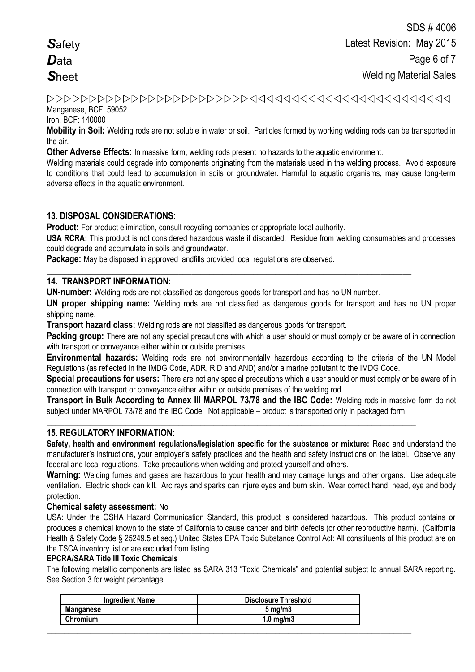Manganese, BCF: 59052

Iron, BCF: 140000

**Mobility in Soil:** Welding rods are not soluble in water or soil. Particles formed by working welding rods can be transported in the air.

**Other Adverse Effects:** In massive form, welding rods present no hazards to the aquatic environment.

**\_\_\_\_\_\_\_\_\_\_\_\_\_\_\_\_\_\_\_\_\_\_\_\_\_\_\_\_\_\_\_\_\_\_\_\_\_\_\_\_\_\_\_\_\_\_\_\_\_\_\_\_\_\_\_\_\_\_\_\_\_\_\_\_\_\_\_\_\_\_\_\_\_\_\_\_\_\_\_\_\_\_\_**

**\_\_\_\_\_\_\_\_\_\_\_\_\_\_\_\_\_\_\_\_\_\_\_\_\_\_\_\_\_\_\_\_\_\_\_\_\_\_\_\_\_\_\_\_\_\_\_\_\_\_\_\_\_\_\_\_\_\_\_\_\_\_\_\_\_\_\_\_\_\_\_\_\_\_\_\_\_\_\_\_\_\_\_**

Welding materials could degrade into components originating from the materials used in the welding process. Avoid exposure to conditions that could lead to accumulation in soils or groundwater. Harmful to aquatic organisms, may cause long-term adverse effects in the aquatic environment.

### **13. DISPOSAL CONSIDERATIONS:**

**Product:** For product elimination, consult recycling companies or appropriate local authority.

**USA RCRA:** This product is not considered hazardous waste if discarded. Residue from welding consumables and processes could degrade and accumulate in soils and groundwater.

**Package:** May be disposed in approved landfills provided local regulations are observed.

### **14. TRANSPORT INFORMATION:**

**UN-number:** Welding rods are not classified as dangerous goods for transport and has no UN number.

**UN proper shipping name:** Welding rods are not classified as dangerous goods for transport and has no UN proper shipping name.

**Transport hazard class:** Welding rods are not classified as dangerous goods for transport.

**Packing group:** There are not any special precautions with which a user should or must comply or be aware of in connection with transport or convevance either within or outside premises.

**Environmental hazards:** Welding rods are not environmentally hazardous according to the criteria of the UN Model Regulations (as reflected in the IMDG Code, ADR, RID and AND) and/or a marine pollutant to the IMDG Code.

**Special precautions for users:** There are not any special precautions which a user should or must comply or be aware of in connection with transport or conveyance either within or outside premises of the welding rod.

**Transport in Bulk According to Annex III MARPOL 73/78 and the IBC Code:** Welding rods in massive form do not subject under MARPOL 73/78 and the IBC Code. Not applicable – product is transported only in packaged form.

**\_\_\_\_\_\_\_\_\_\_\_\_\_\_\_\_\_\_\_\_\_\_\_\_\_\_\_\_\_\_\_\_\_\_\_\_\_\_\_\_\_\_\_\_\_\_\_\_\_\_\_\_\_\_\_\_\_\_\_\_\_\_\_\_\_\_\_\_\_\_\_\_\_\_\_\_\_\_\_\_\_\_\_\_**

### **15. REGULATORY INFORMATION:**

**Safety, health and environment regulations/legislation specific for the substance or mixture:** Read and understand the manufacturer's instructions, your employer's safety practices and the health and safety instructions on the label. Observe any federal and local regulations. Take precautions when welding and protect yourself and others.

**Warning:** Welding fumes and gases are hazardous to your health and may damage lungs and other organs. Use adequate ventilation.Electric shock can kill. Arc rays and sparks can injure eyes and burn skin. Wear correct hand, head, eye and body protection.

### **Chemical safety assessment:** No

USA: Under the OSHA Hazard Communication Standard, this product is considered hazardous. This product contains or produces a chemical known to the state of California to cause cancer and birth defects (or other reproductive harm). (California Health & Safety Code § 25249.5 et seq.) United States EPA Toxic Substance Control Act: All constituents of this product are on the TSCA inventory list or are excluded from listing.

#### **EPCRA/SARA Title III Toxic Chemicals**

The following metallic components are listed as SARA 313 "Toxic Chemicals" and potential subject to annual SARA reporting. See Section 3 for weight percentage.

| <b>Ingredient Name</b> | <b>Disclosure Threshold</b> |
|------------------------|-----------------------------|
| <b>Manganese</b>       | $5 \,\mathrm{mq/m}$         |
| Chromium               | ∣.0 ma/m3                   |
|                        |                             |